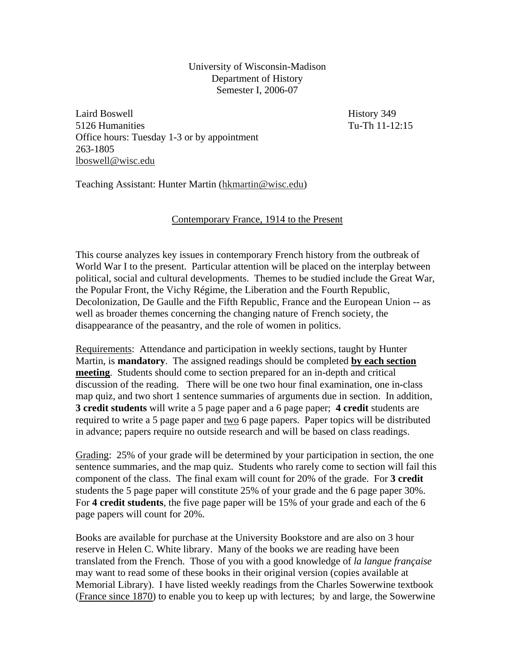University of Wisconsin-Madison Department of History Semester I, 2006-07

Laird Boswell **History 349** 5126 Humanities Tu-Th 11-12:15 Office hours: Tuesday 1-3 or by appointment 263-1805 lboswell@wisc.edu

Teaching Assistant: Hunter Martin (hkmartin@wisc.edu)

## Contemporary France, 1914 to the Present

This course analyzes key issues in contemporary French history from the outbreak of World War I to the present. Particular attention will be placed on the interplay between political, social and cultural developments. Themes to be studied include the Great War, the Popular Front, the Vichy Régime, the Liberation and the Fourth Republic, Decolonization, De Gaulle and the Fifth Republic, France and the European Union -- as well as broader themes concerning the changing nature of French society, the disappearance of the peasantry, and the role of women in politics.

Requirements: Attendance and participation in weekly sections, taught by Hunter Martin, is **mandatory**. The assigned readings should be completed **by each section meeting**. Students should come to section prepared for an in-depth and critical discussion of the reading. There will be one two hour final examination, one in-class map quiz, and two short 1 sentence summaries of arguments due in section. In addition, **3 credit students** will write a 5 page paper and a 6 page paper; **4 credit** students are required to write a 5 page paper and two 6 page papers. Paper topics will be distributed in advance; papers require no outside research and will be based on class readings.

Grading: 25% of your grade will be determined by your participation in section, the one sentence summaries, and the map quiz. Students who rarely come to section will fail this component of the class. The final exam will count for 20% of the grade. For **3 credit**  students the 5 page paper will constitute 25% of your grade and the 6 page paper 30%. For **4 credit students**, the five page paper will be 15% of your grade and each of the 6 page papers will count for 20%.

Books are available for purchase at the University Bookstore and are also on 3 hour reserve in Helen C. White library. Many of the books we are reading have been translated from the French. Those of you with a good knowledge of *la langue française* may want to read some of these books in their original version (copies available at Memorial Library). I have listed weekly readings from the Charles Sowerwine textbook (France since 1870) to enable you to keep up with lectures; by and large, the Sowerwine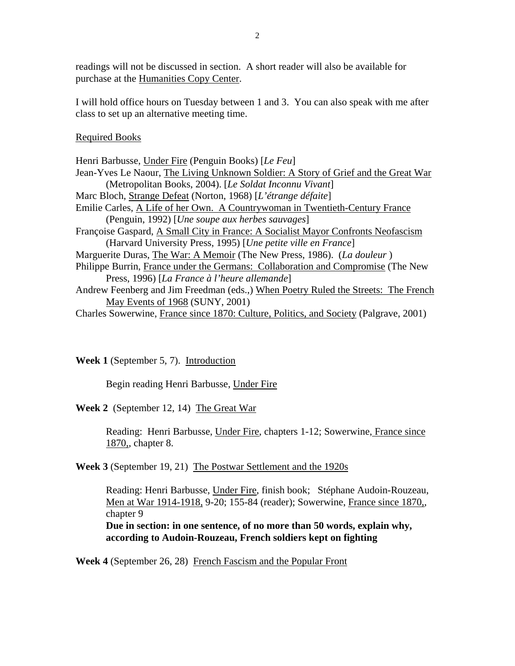readings will not be discussed in section. A short reader will also be available for purchase at the Humanities Copy Center.

I will hold office hours on Tuesday between 1 and 3. You can also speak with me after class to set up an alternative meeting time.

## Required Books

| Henri Barbusse, Under Fire (Penguin Books) [Le Feu]                                   |
|---------------------------------------------------------------------------------------|
| Jean-Yves Le Naour, The Living Unknown Soldier: A Story of Grief and the Great War    |
| (Metropolitan Books, 2004). [Le Soldat Inconnu Vivant]                                |
| Marc Bloch, Strange Defeat (Norton, 1968) [L'étrange défaite]                         |
| Emilie Carles, A Life of her Own. A Countrywoman in Twentieth-Century France          |
| (Penguin, 1992) [Une soupe aux herbes sauvages]                                       |
| Françoise Gaspard, A Small City in France: A Socialist Mayor Confronts Neofascism     |
| (Harvard University Press, 1995) [Une petite ville en France]                         |
| Marguerite Duras, The War: A Memoir (The New Press, 1986). (La douleur)               |
| Philippe Burrin, France under the Germans: Collaboration and Compromise (The New      |
| Press, 1996) [La France à l'heure allemande]                                          |
| Andrew Feenberg and Jim Freedman (eds.,) When Poetry Ruled the Streets: The French    |
| May Events of 1968 (SUNY, 2001)                                                       |
| Charles Sowerwine, France since 1870: Culture, Politics, and Society (Palgrave, 2001) |

**Week 1** (September 5, 7). Introduction

Begin reading Henri Barbusse, Under Fire

**Week 2** (September 12, 14) The Great War

Reading: Henri Barbusse, Under Fire, chapters 1-12; Sowerwine, France since 1870,, chapter 8.

**Week 3** (September 19, 21) The Postwar Settlement and the 1920s

Reading: Henri Barbusse, Under Fire, finish book; Stéphane Audoin-Rouzeau, Men at War 1914-1918, 9-20; 155-84 (reader); Sowerwine, France since 1870,, chapter 9

**Due in section: in one sentence, of no more than 50 words, explain why, according to Audoin-Rouzeau, French soldiers kept on fighting** 

**Week 4** (September 26, 28) French Fascism and the Popular Front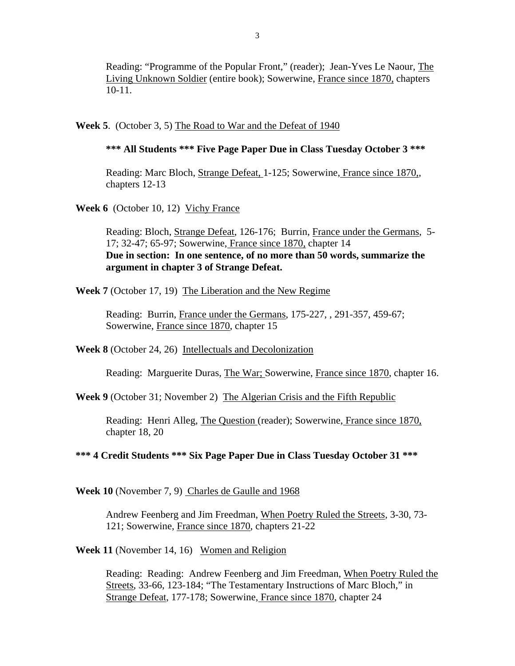Reading: "Programme of the Popular Front," (reader); Jean-Yves Le Naour, The Living Unknown Soldier (entire book); Sowerwine, France since 1870, chapters 10-11.

**Week 5**. (October 3, 5) The Road to War and the Defeat of 1940

## **\*\*\* All Students \*\*\* Five Page Paper Due in Class Tuesday October 3 \*\*\***

Reading: Marc Bloch, Strange Defeat, 1-125; Sowerwine, France since 1870,, chapters 12-13

**Week 6** (October 10, 12) Vichy France

Reading: Bloch, Strange Defeat, 126-176; Burrin, France under the Germans, 5- 17; 32-47; 65-97; Sowerwine, France since 1870, chapter 14 **Due in section: In one sentence, of no more than 50 words, summarize the argument in chapter 3 of Strange Defeat.** 

**Week 7** (October 17, 19) The Liberation and the New Regime

Reading: Burrin, France under the Germans, 175-227, , 291-357, 459-67; Sowerwine, France since 1870, chapter 15

**Week 8** (October 24, 26) Intellectuals and Decolonization

Reading: Marguerite Duras, The War; Sowerwine, France since 1870, chapter 16.

**Week 9** (October 31; November 2) The Algerian Crisis and the Fifth Republic

Reading: Henri Alleg, The Question (reader); Sowerwine, France since 1870, chapter 18, 20

**\*\*\* 4 Credit Students \*\*\* Six Page Paper Due in Class Tuesday October 31 \*\*\*** 

**Week 10** (November 7, 9) Charles de Gaulle and 1968

Andrew Feenberg and Jim Freedman, When Poetry Ruled the Streets, 3-30, 73- 121; Sowerwine, France since 1870, chapters 21-22

**Week 11** (November 14, 16) Women and Religion

Reading: Reading: Andrew Feenberg and Jim Freedman, When Poetry Ruled the Streets, 33-66, 123-184; "The Testamentary Instructions of Marc Bloch," in Strange Defeat, 177-178; Sowerwine, France since 1870, chapter 24